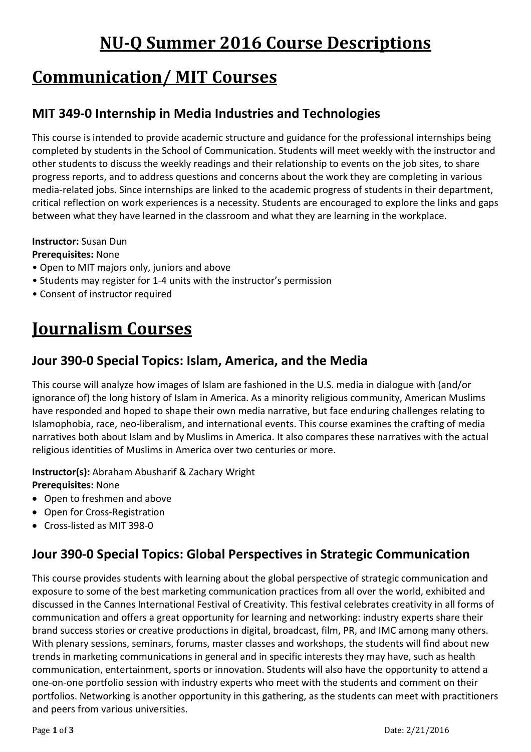# **NU-Q Summer 2016 Course Descriptions**

# **Communication/ MIT Courses**

## **MIT 349-0 Internship in Media Industries and Technologies**

This course is intended to provide academic structure and guidance for the professional internships being completed by students in the School of Communication. Students will meet weekly with the instructor and other students to discuss the weekly readings and their relationship to events on the job sites, to share progress reports, and to address questions and concerns about the work they are completing in various media-related jobs. Since internships are linked to the academic progress of students in their department, critical reflection on work experiences is a necessity. Students are encouraged to explore the links and gaps between what they have learned in the classroom and what they are learning in the workplace.

#### **Instructor:** Susan Dun

#### **Prerequisites:** None

- Open to MIT majors only, juniors and above
- Students may register for 1-4 units with the instructor's permission
- Consent of instructor required

# **Journalism Courses**

#### **Jour 390-0 Special Topics: Islam, America, and the Media**

This course will analyze how images of Islam are fashioned in the U.S. media in dialogue with (and/or ignorance of) the long history of Islam in America. As a minority religious community, American Muslims have responded and hoped to shape their own media narrative, but face enduring challenges relating to Islamophobia, race, neo-liberalism, and international events. This course examines the crafting of media narratives both about Islam and by Muslims in America. It also compares these narratives with the actual religious identities of Muslims in America over two centuries or more.

**Instructor(s):** Abraham Abusharif & Zachary Wright **Prerequisites:** None

- Open to freshmen and above
- Open for Cross-Registration
- Cross-listed as MIT 398-0

## **Jour 390-0 Special Topics: Global Perspectives in Strategic Communication**

This course provides students with learning about the global perspective of strategic communication and exposure to some of the best marketing communication practices from all over the world, exhibited and discussed in the Cannes International Festival of Creativity. This festival celebrates creativity in all forms of communication and offers a great opportunity for learning and networking: industry experts share their brand success stories or creative productions in digital, broadcast, film, PR, and IMC among many others. With plenary sessions, seminars, forums, master classes and workshops, the students will find about new trends in marketing communications in general and in specific interests they may have, such as health communication, entertainment, sports or innovation. Students will also have the opportunity to attend a one-on-one portfolio session with industry experts who meet with the students and comment on their portfolios. Networking is another opportunity in this gathering, as the students can meet with practitioners and peers from various universities.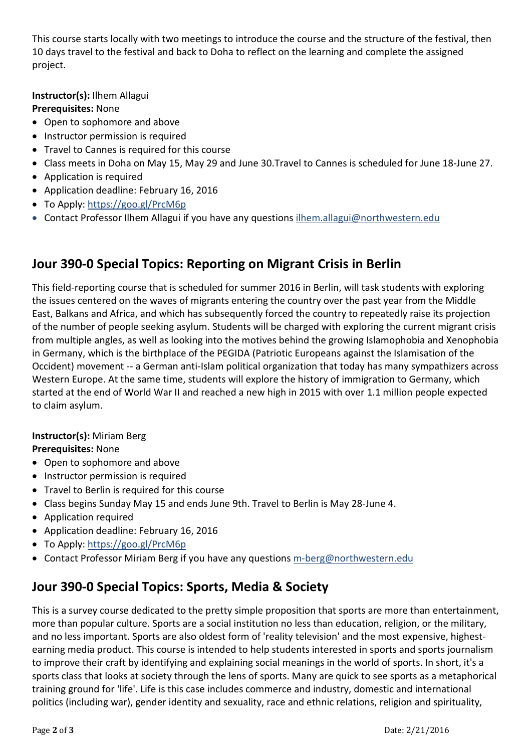This course starts locally with two meetings to introduce the course and the structure of the festival, then 10 days travel to the festival and back to Doha to reflect on the learning and complete the assigned project.

**Instructor(s):** Ilhem Allagui **Prerequisites:** None

- Open to sophomore and above
- Instructor permission is required
- Travel to Cannes is required for this course
- Class meets in Doha on May 15, May 29 and June 30.Travel to Cannes is scheduled for June 18-June 27.
- Application is required
- Application deadline: February 16, 2016
- To Apply:<https://goo.gl/PrcM6p>
- Contact Professor Ilhem Allagui if you have any questions [ilhem.allagui@northwestern.edu](mailto:ilhem.allagui@northwestern.edu)

### **Jour 390-0 Special Topics: Reporting on Migrant Crisis in Berlin**

This field-reporting course that is scheduled for summer 2016 in Berlin, will task students with exploring the issues centered on the waves of migrants entering the country over the past year from the Middle East, Balkans and Africa, and which has subsequently forced the country to repeatedly raise its projection of the number of people seeking asylum. Students will be charged with exploring the current migrant crisis from multiple angles, as well as looking into the motives behind the growing Islamophobia and Xenophobia in Germany, which is the birthplace of the PEGIDA (Patriotic Europeans against the Islamisation of the Occident) movement -- a German anti-Islam political organization that today has many sympathizers across Western Europe. At the same time, students will explore the history of immigration to Germany, which started at the end of World War II and reached a new high in 2015 with over 1.1 million people expected to claim asylum.

#### **Instructor(s):** Miriam Berg **Prerequisites:** None

- Open to sophomore and above
- Instructor permission is required
- Travel to Berlin is required for this course
- Class begins Sunday May 15 and ends June 9th. Travel to Berlin is May 28-June 4.
- Application required
- Application deadline: February 16, 2016
- To Apply:<https://goo.gl/PrcM6p>
- Contact [Professor Miriam Berg](mailto:m-berg@northwestern.edu) if you have any questions [m-berg@northwestern.edu](mailto:m-berg@northwestern.edu)

## **Jour 390-0 Special Topics: Sports, Media & Society**

This is a survey course dedicated to the pretty simple proposition that sports are more than entertainment, more than popular culture. Sports are a social institution no less than education, religion, or the military, and no less important. Sports are also oldest form of 'reality television' and the most expensive, highestearning media product. This course is intended to help students interested in sports and sports journalism to improve their craft by identifying and explaining social meanings in the world of sports. In short, it's a sports class that looks at society through the lens of sports. Many are quick to see sports as a metaphorical training ground for 'life'. Life is this case includes commerce and industry, domestic and international politics (including war), gender identity and sexuality, race and ethnic relations, religion and spirituality,